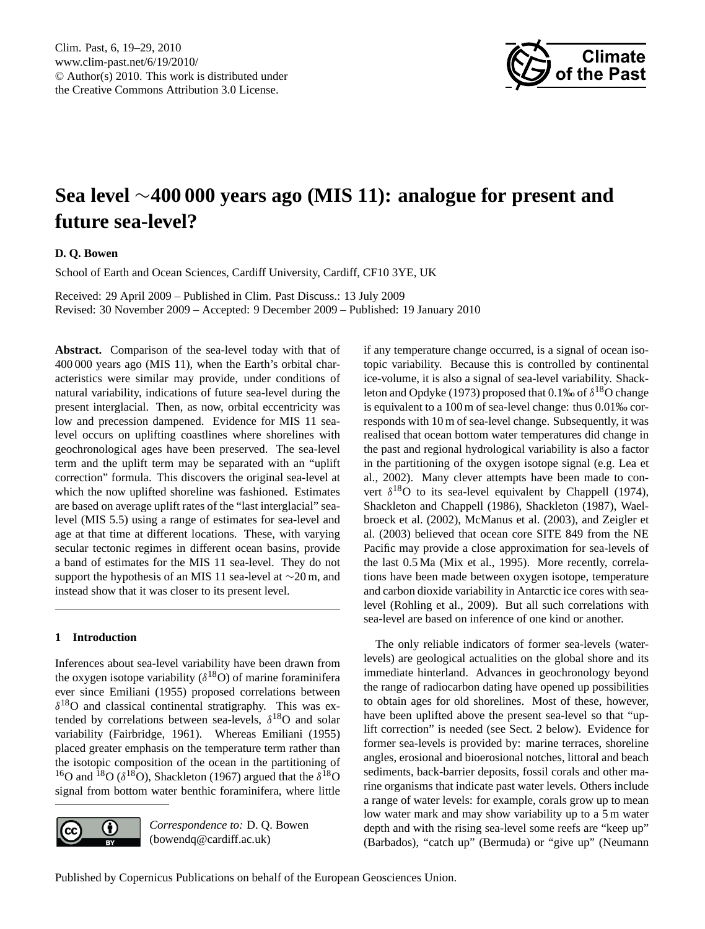

# <span id="page-0-0"></span>**Sea level** ∼**400 000 years ago (MIS 11): analogue for present and future sea-level?**

# **D. Q. Bowen**

School of Earth and Ocean Sciences, Cardiff University, Cardiff, CF10 3YE, UK

Received: 29 April 2009 – Published in Clim. Past Discuss.: 13 July 2009 Revised: 30 November 2009 – Accepted: 9 December 2009 – Published: 19 January 2010

**Abstract.** Comparison of the sea-level today with that of 400 000 years ago (MIS 11), when the Earth's orbital characteristics were similar may provide, under conditions of natural variability, indications of future sea-level during the present interglacial. Then, as now, orbital eccentricity was low and precession dampened. Evidence for MIS 11 sealevel occurs on uplifting coastlines where shorelines with geochronological ages have been preserved. The sea-level term and the uplift term may be separated with an "uplift correction" formula. This discovers the original sea-level at which the now uplifted shoreline was fashioned. Estimates are based on average uplift rates of the "last interglacial" sealevel (MIS 5.5) using a range of estimates for sea-level and age at that time at different locations. These, with varying secular tectonic regimes in different ocean basins, provide a band of estimates for the MIS 11 sea-level. They do not support the hypothesis of an MIS 11 sea-level at ∼20 m, and instead show that it was closer to its present level.

# **1 Introduction**

Inferences about sea-level variability have been drawn from the oxygen isotope variability ( $\delta^{18}$ O) of marine foraminifera ever since Emiliani (1955) proposed correlations between  $\delta^{18}$ O and classical continental stratigraphy. This was extended by correlations between sea-levels,  $\delta^{18}$ O and solar variability (Fairbridge, 1961). Whereas Emiliani (1955) placed greater emphasis on the temperature term rather than the isotopic composition of the ocean in the partitioning of <sup>16</sup>O and <sup>18</sup>O ( $\delta$ <sup>18</sup>O), Shackleton (1967) argued that the  $\delta$ <sup>18</sup>O signal from bottom water benthic foraminifera, where little



*Correspondence to:* D. Q. Bowen (bowendq@cardiff.ac.uk)

if any temperature change occurred, is a signal of ocean isotopic variability. Because this is controlled by continental ice-volume, it is also a signal of sea-level variability. Shackleton and Opdyke (1973) proposed that 0.1‰ of  $\delta^{18}O$  change is equivalent to a 100 m of sea-level change: thus 0.01‰ corresponds with 10 m of sea-level change. Subsequently, it was realised that ocean bottom water temperatures did change in the past and regional hydrological variability is also a factor in the partitioning of the oxygen isotope signal (e.g. Lea et al., 2002). Many clever attempts have been made to convert  $\delta^{18}$ O to its sea-level equivalent by Chappell (1974), Shackleton and Chappell (1986), Shackleton (1987), Waelbroeck et al. (2002), McManus et al. (2003), and Zeigler et al. (2003) believed that ocean core SITE 849 from the NE Pacific may provide a close approximation for sea-levels of the last 0.5 Ma (Mix et al., 1995). More recently, correlations have been made between oxygen isotope, temperature and carbon dioxide variability in Antarctic ice cores with sealevel (Rohling et al., 2009). But all such correlations with sea-level are based on inference of one kind or another.

The only reliable indicators of former sea-levels (waterlevels) are geological actualities on the global shore and its immediate hinterland. Advances in geochronology beyond the range of radiocarbon dating have opened up possibilities to obtain ages for old shorelines. Most of these, however, have been uplifted above the present sea-level so that "uplift correction" is needed (see Sect. 2 below). Evidence for former sea-levels is provided by: marine terraces, shoreline angles, erosional and bioerosional notches, littoral and beach sediments, back-barrier deposits, fossil corals and other marine organisms that indicate past water levels. Others include a range of water levels: for example, corals grow up to mean low water mark and may show variability up to a 5 m water depth and with the rising sea-level some reefs are "keep up" (Barbados), "catch up" (Bermuda) or "give up" (Neumann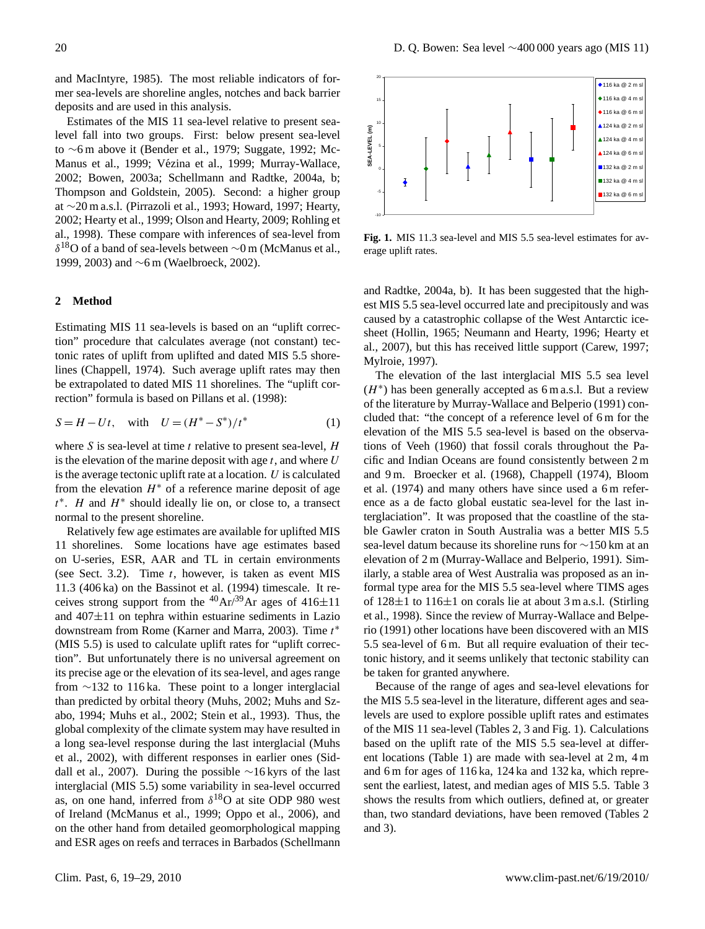and MacIntyre, 1985). The most reliable indicators of former sea-levels are shoreline angles, notches and back barrier deposits and are used in this analysis.

Estimates of the MIS 11 sea-level relative to present sealevel fall into two groups. First: below present sea-level to ∼6 m above it (Bender et al., 1979; Suggate, 1992; Mc-Manus et al., 1999; Vézina et al., 1999; Murray-Wallace, 2002; Bowen, 2003a; Schellmann and Radtke, 2004a, b; Thompson and Goldstein, 2005). Second: a higher group at ∼20 m a.s.l. (Pirrazoli et al., 1993; Howard, 1997; Hearty, 2002; Hearty et al., 1999; Olson and Hearty, 2009; Rohling et al., 1998). These compare with inferences of sea-level from  $\delta^{18}$ O of a band of sea-levels between ∼0 m (McManus et al., 1999, 2003) and ∼6 m (Waelbroeck, 2002).

#### **2 Method**

Estimating MIS 11 sea-levels is based on an "uplift correction" procedure that calculates average (not constant) tectonic rates of uplift from uplifted and dated MIS 5.5 shorelines (Chappell, 1974). Such average uplift rates may then be extrapolated to dated MIS 11 shorelines. The "uplift correction" formula is based on Pillans et al. (1998):

$$
S = H - Ut, \quad \text{with} \quad U = (H^* - S^*)/t^* \tag{1}
$$

where S is sea-level at time  $t$  relative to present sea-level,  $H$ is the elevation of the marine deposit with age  $t$ , and where  $U$ is the average tectonic uplift rate at a location.  $U$  is calculated from the elevation  $H^*$  of a reference marine deposit of age  $t^*$ . H and  $H^*$  should ideally lie on, or close to, a transect normal to the present shoreline.

Relatively few age estimates are available for uplifted MIS 11 shorelines. Some locations have age estimates based on U-series, ESR, AAR and TL in certain environments (see Sect. 3.2). Time  $t$ , however, is taken as event MIS 11.3 (406 ka) on the Bassinot et al. (1994) timescale. It receives strong support from the  $^{40}Ar^{39}Ar$  ages of  $416±11$ and  $407\pm11$  on tephra within estuarine sediments in Lazio downstream from Rome (Karner and Marra, 2003). Time  $t^*$ (MIS 5.5) is used to calculate uplift rates for "uplift correction". But unfortunately there is no universal agreement on its precise age or the elevation of its sea-level, and ages range from ∼132 to 116 ka. These point to a longer interglacial than predicted by orbital theory (Muhs, 2002; Muhs and Szabo, 1994; Muhs et al., 2002; Stein et al., 1993). Thus, the global complexity of the climate system may have resulted in a long sea-level response during the last interglacial (Muhs et al., 2002), with different responses in earlier ones (Siddall et al., 2007). During the possible ∼16 kyrs of the last interglacial (MIS 5.5) some variability in sea-level occurred as, on one hand, inferred from  $\delta^{18}$ O at site ODP 980 west of Ireland (McManus et al., 1999; Oppo et al., 2006), and on the other hand from detailed geomorphological mapping and ESR ages on reefs and terraces in Barbados (Schellmann



**Fig. 1.** MIS 11.3 sea-level and MIS 5.5 sea-level estimates for average uplift rates.

and Radtke, 2004a, b). It has been suggested that the highest MIS 5.5 sea-level occurred late and precipitously and was caused by a catastrophic collapse of the West Antarctic icesheet (Hollin, 1965; Neumann and Hearty, 1996; Hearty et al., 2007), but this has received little support (Carew, 1997; Mylroie, 1997).

The elevation of the last interglacial MIS 5.5 sea level  $(H^*)$  has been generally accepted as 6 m a.s.l. But a review of the literature by Murray-Wallace and Belperio (1991) concluded that: "the concept of a reference level of 6 m for the elevation of the MIS 5.5 sea-level is based on the observations of Veeh (1960) that fossil corals throughout the Pacific and Indian Oceans are found consistently between 2 m and 9 m. Broecker et al. (1968), Chappell (1974), Bloom et al. (1974) and many others have since used a 6 m reference as a de facto global eustatic sea-level for the last interglaciation". It was proposed that the coastline of the stable Gawler craton in South Australia was a better MIS 5.5 sea-level datum because its shoreline runs for ∼150 km at an elevation of 2 m (Murray-Wallace and Belperio, 1991). Similarly, a stable area of West Australia was proposed as an informal type area for the MIS 5.5 sea-level where TIMS ages of  $128 \pm 1$  to  $116 \pm 1$  on corals lie at about 3 m a.s.l. (Stirling et al., 1998). Since the review of Murray-Wallace and Belperio (1991) other locations have been discovered with an MIS 5.5 sea-level of 6 m. But all require evaluation of their tectonic history, and it seems unlikely that tectonic stability can be taken for granted anywhere.

Because of the range of ages and sea-level elevations for the MIS 5.5 sea-level in the literature, different ages and sealevels are used to explore possible uplift rates and estimates of the MIS 11 sea-level (Tables 2, 3 and Fig. 1). Calculations based on the uplift rate of the MIS 5.5 sea-level at different locations (Table 1) are made with sea-level at 2 m, 4 m and 6 m for ages of 116 ka, 124 ka and 132 ka, which represent the earliest, latest, and median ages of MIS 5.5. Table 3 shows the results from which outliers, defined at, or greater than, two standard deviations, have been removed (Tables 2 and 3).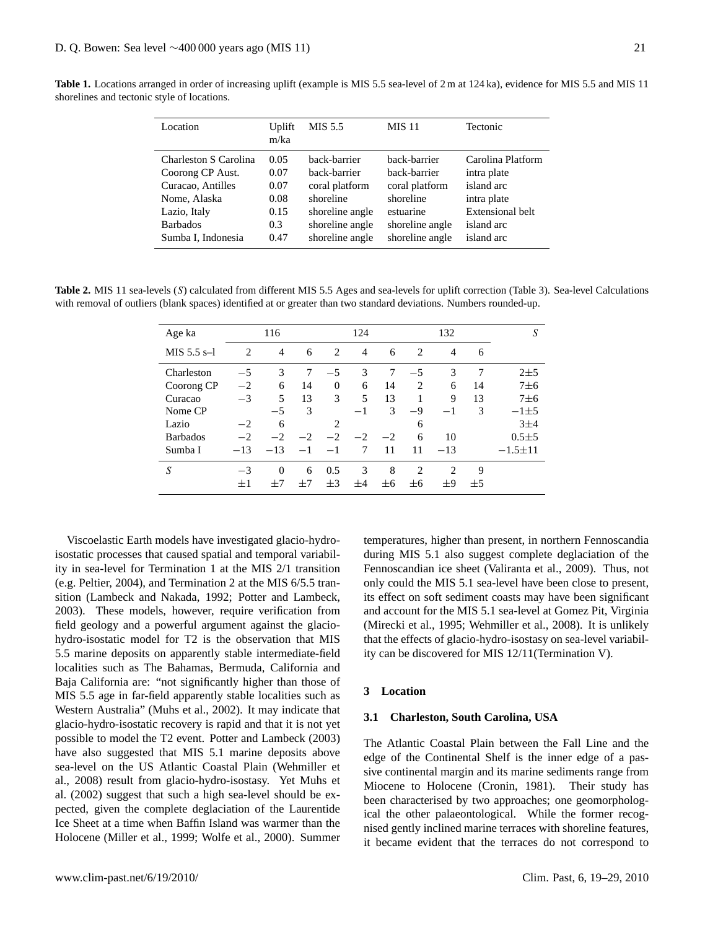| Location              | Uplift<br>m/ka | MIS 5.5         | <b>MIS</b> 11   | <b>Tectonic</b>   |
|-----------------------|----------------|-----------------|-----------------|-------------------|
| Charleston S Carolina | 0.05           | back-barrier    | back-barrier    | Carolina Platform |
| Coorong CP Aust.      | 0.07           | back-barrier    | back-barrier    | intra plate       |
| Curacao, Antilles     | 0.07           | coral platform  | coral platform  | island arc        |
| Nome, Alaska          | 0.08           | shoreline       | shoreline       | intra plate       |
| Lazio, Italy          | 0.15           | shoreline angle | estuarine       | Extensional belt  |
| <b>Barbados</b>       | 0.3            | shoreline angle | shoreline angle | island arc        |
| Sumba I, Indonesia    | 0.47           | shoreline angle | shoreline angle | island arc        |

**Table 1.** Locations arranged in order of increasing uplift (example is MIS 5.5 sea-level of 2 m at 124 ka), evidence for MIS 5.5 and MIS 11 shorelines and tectonic style of locations.

Table 2. MIS 11 sea-levels (S) calculated from different MIS 5.5 Ages and sea-levels for uplift correction (Table 3). Sea-level Calculations with removal of outliers (blank spaces) identified at or greater than two standard deviations. Numbers rounded-up.

| Age ka          |         | 116      |      |                | 124            |         |                | 132            |         | S             |
|-----------------|---------|----------|------|----------------|----------------|---------|----------------|----------------|---------|---------------|
| MIS $5.5$ s-1   | 2       | 4        | 6    | 2              | $\overline{4}$ | 6       | $\overline{c}$ | $\overline{4}$ | 6       |               |
| Charleston      | $-5$    | 3        | 7    | $-5$           | 3              | 7       | $-5$           | 3              | 7       | $2\pm5$       |
| Coorong CP      | $-2$    | 6        | 14   | $\Omega$       | 6              | 14      | 2              | 6              | 14      | $7\pm6$       |
| Curacao         | $-3$    | 5        | 13   | 3              | 5              | 13      |                | 9              | 13      | $7\pm6$       |
| Nome CP         |         | $-5$     | 3    |                | $-1$           | 3       | -9             | $-1$           | 3       | $-1\pm 5$     |
| Lazio           | $-2$    | 6        |      | $\overline{c}$ |                |         | 6              |                |         | 3±4           |
| <b>Barbados</b> | $-2$    | $-2$     | $-2$ | $-2$           | $-2$           | $-2$    | 6              | 10             |         | $0.5 + 5$     |
| Sumba I         | $-13$   | $-13$    | $-1$ | $-1$           | 7              | 11      | 11             | $-13$          |         | $-1.5 \pm 11$ |
| S               | $-3$    | $\Omega$ | 6    | 0.5            | 3              | 8       | $\overline{c}$ | $\overline{c}$ | 9       |               |
|                 | $\pm 1$ | $^{+7}$  | $+7$ | $\pm$ 3        | $+4$           | $\pm 6$ | $\pm 6$        | $+9$           | $\pm 5$ |               |

Viscoelastic Earth models have investigated glacio-hydroisostatic processes that caused spatial and temporal variability in sea-level for Termination 1 at the MIS 2/1 transition (e.g. Peltier, 2004), and Termination 2 at the MIS 6/5.5 transition (Lambeck and Nakada, 1992; Potter and Lambeck, 2003). These models, however, require verification from field geology and a powerful argument against the glaciohydro-isostatic model for T2 is the observation that MIS 5.5 marine deposits on apparently stable intermediate-field localities such as The Bahamas, Bermuda, California and Baja California are: "not significantly higher than those of MIS 5.5 age in far-field apparently stable localities such as Western Australia" (Muhs et al., 2002). It may indicate that glacio-hydro-isostatic recovery is rapid and that it is not yet possible to model the T2 event. Potter and Lambeck (2003) have also suggested that MIS 5.1 marine deposits above sea-level on the US Atlantic Coastal Plain (Wehmiller et al., 2008) result from glacio-hydro-isostasy. Yet Muhs et al. (2002) suggest that such a high sea-level should be expected, given the complete deglaciation of the Laurentide Ice Sheet at a time when Baffin Island was warmer than the Holocene (Miller et al., 1999; Wolfe et al., 2000). Summer temperatures, higher than present, in northern Fennoscandia during MIS 5.1 also suggest complete deglaciation of the Fennoscandian ice sheet (Valiranta et al., 2009). Thus, not only could the MIS 5.1 sea-level have been close to present, its effect on soft sediment coasts may have been significant and account for the MIS 5.1 sea-level at Gomez Pit, Virginia (Mirecki et al., 1995; Wehmiller et al., 2008). It is unlikely that the effects of glacio-hydro-isostasy on sea-level variability can be discovered for MIS 12/11(Termination V).

# **3 Location**

#### **3.1 Charleston, South Carolina, USA**

The Atlantic Coastal Plain between the Fall Line and the edge of the Continental Shelf is the inner edge of a passive continental margin and its marine sediments range from Miocene to Holocene (Cronin, 1981). Their study has been characterised by two approaches; one geomorphological the other palaeontological. While the former recognised gently inclined marine terraces with shoreline features, it became evident that the terraces do not correspond to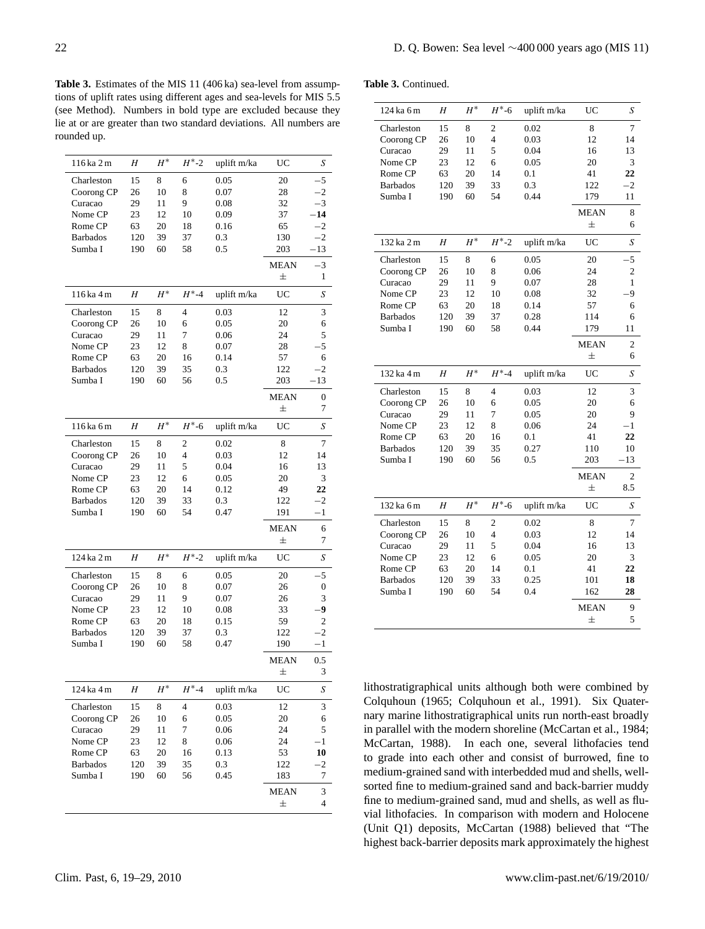**Table 3.** Estimates of the MIS 11 (406 ka) sea-level from assumptions of uplift rates using different ages and sea-levels for MIS 5.5 (see Method). Numbers in bold type are excluded because they lie at or are greater than two standard deviations. All numbers are rounded up.

| 116 ka 2 m      | Η   | $H^\ast$ | $H^* - 2$      | uplift m/ka | UC          | S                |
|-----------------|-----|----------|----------------|-------------|-------------|------------------|
| Charleston      | 15  | 8        | 6              | 0.05        | 20          | -5               |
| Coorong CP      | 26  | 10       | 8              | 0.07        | 28          | $-2$             |
| Curacao         | 29  | 11       | 9              | 0.08        | 32          | $^{-3}$          |
| Nome CP         | 23  | 12       | 10             | 0.09        | 37          | $-14$            |
| Rome CP         | 63  | 20       | 18             | 0.16        | 65          | $-2$             |
| <b>Barbados</b> | 120 | 39       | 37             | 0.3         | 130         | $-2$             |
| Sumba I         | 190 | 60       | 58             | 0.5         | 203         | $-13$            |
|                 |     |          |                |             | MEAN        | -3               |
|                 |     |          |                |             | 士           | 1                |
| 116 ka 4 m      | Η   | $H^*$    | $H^*$ -4       | uplift m/ka | UC          | S                |
| Charleston      | 15  | 8        | 4              | 0.03        | 12          | 3                |
| Coorong CP      | 26  | 10       | 6              | 0.05        | 20          | 6                |
| Curacao         | 29  | 11       | 7              | 0.06        | 24          | 5                |
| Nome CP         | 23  | 12       | 8              | 0.07        | 28          | $\cdot$ 5        |
| Rome CP         | 63  | 20       | 16             | 0.14        | 57          | 6                |
| <b>Barbados</b> | 120 | 39       | 35             | 0.3         | 122         | $^{-2}$          |
| Sumba I         | 190 | 60       | 56             | 0.5         | 203         | $-13$            |
|                 |     |          |                |             | <b>MEAN</b> | $\boldsymbol{0}$ |
|                 |     |          |                |             | 士           | 7                |
|                 |     |          |                |             |             |                  |
| 116 ka 6 m      | Η   | $H^*$    | $H^*$ -6       | uplift m/ka | UC          | S                |
| Charleston      | 15  | 8        | 2              | 0.02        | 8           | 7                |
| Coorong CP      | 26  | 10       | $\overline{4}$ | 0.03        | 12          | 14               |
| Curacao         | 29  | 11       | 5              | 0.04        | 16          | 13               |
| Nome CP         | 23  | 12       | 6              | 0.05        | 20          | 3                |
| Rome CP         | 63  | 20       | 14             | 0.12        | 49          | 22               |
| <b>Barbados</b> | 120 | 39       | 33             | 0.3         | 122         | $^{-2}$          |
| Sumba I         | 190 | 60       | 54             | 0.47        | 191         | -1               |
|                 |     |          |                |             | <b>MEAN</b> | 6                |
|                 |     |          |                |             | 士           | 7                |
| 124 ka 2 m      | Η   | $H^*$    | $H^* - 2$      | uplift m/ka | UC          | $\boldsymbol{S}$ |
| Charleston      | 15  | 8        | 6              | 0.05        | 20          | -5               |
| Coorong CP      | 26  | 10       | 8              | 0.07        | 26          | $\boldsymbol{0}$ |
| Curacao         | 29  | 11       | 9              | 0.07        | 26          | 3                |
| Nome CP         | 23  | 12       | 10             | 0.08        | 33          | 9                |
| Rome CP         | 63  | 20       | 18             | 0.15        | 59          | 2                |
| <b>Barbados</b> | 120 | 39       | 37             | 0.3         | 122         | $-2$             |
| Sumba I         | 190 | 60       | 58             | 0.47        | 190         | $-1$             |
|                 |     |          |                |             | <b>MEAN</b> | 0.5              |
|                 |     |          |                |             | 士           | 3                |
| 124 ka 4 m      | Η   | $H^*$    | $H^*$ -4       | uplift m/ka | UC          | S                |
| Charleston      | 15  | 8        | 4              | 0.03        | 12          | 3                |
| Coorong CP      | 26  | 10       | 6              | 0.05        | 20          | 6                |
| Curacao         | 29  | 11       | 7              | 0.06        | 24          | 5                |
| Nome CP         | 23  | 12       | 8              | 0.06        | 24          | $^{-1}$          |
| Rome CP         | 63  | 20       | 16             | 0.13        | 53          | 10               |
| <b>Barbados</b> | 120 | 39       | 35             | 0.3         | 122         | $-2$             |
| Sumba I         | 190 | 60       | 56             | 0.45        | 183         | 7                |
|                 |     |          |                |             | MEAN        | 3                |
|                 |     |          |                |             | 士           | 4                |
|                 |     |          |                |             |             |                  |

|  | <b>Table 3. Continued.</b> |
|--|----------------------------|

| 124 ka 6 m      | H        | $H^*$ | $H^*$ -6       | uplift m/ka | UC          | S              |
|-----------------|----------|-------|----------------|-------------|-------------|----------------|
| Charleston      | 15       | 8     | $\overline{c}$ | 0.02        | 8           | 7              |
| Coorong CP      | 26       | 10    | $\overline{4}$ | 0.03        | 12          | 14             |
| Curacao         | 29       | 11    | 5              | 0.04        | 16          | 13             |
| Nome CP         | 23       | 12    | 6              | 0.05        | 20          | 3              |
| Rome CP         | 63       | 20    | 14             | 0.1         | 41          | 22             |
| <b>Barbados</b> | 120      | 39    | 33             | 0.3         | 122         | $^{-2}$        |
| Sumba I         | 190      | 60    | 54             | 0.44        | 179         | 11             |
|                 |          |       |                |             | <b>MEAN</b> | 8              |
|                 |          |       |                |             | $\pm$       | 6              |
| 132 ka 2 m      | H        | $H^*$ | $H^* - 2$      | uplift m/ka | UC          | S              |
| Charleston      | 15       | 8     | 6              | 0.05        | 20          | $-5$           |
| Coorong CP      | 26       | 10    | 8              | 0.06        | 24          | $\overline{2}$ |
| Curacao         | 29       | 11    | 9              | 0.07        | 28          | 1              |
| Nome CP         | 23       | 12    | 10             | 0.08        | 32          | -9             |
| Rome CP         | 63       | 20    | 18             | 0.14        | 57          | 6              |
| <b>Barbados</b> | 120      | 39    | 37             | 0.28        | 114         | 6              |
| Sumba I         | 190      | 60    | 58             | 0.44        | 179         | 11             |
|                 |          |       |                |             | <b>MEAN</b> | 2              |
|                 |          |       |                |             | 士           | 6              |
|                 |          |       |                |             |             |                |
| 132 ka 4 m      | H        | $H^*$ | $H^* - 4$      | uplift m/ka | UC          | S              |
| Charleston      |          | 8     | $\overline{4}$ | 0.03        | 12          | 3              |
| Coorong CP      | 15<br>26 | 10    | 6              | 0.05        | 20          | 6              |
| Curacao         | 29       | 11    | 7              | 0.05        | 20          | 9              |
| Nome CP         | 23       | 12    | 8              | 0.06        | 24          | $-1$           |
| Rome CP         | 63       | 20    | 16             | 0.1         | 41          | 22             |
| <b>Barbados</b> | 120      | 39    | 35             | 0.27        | 110         | 10             |
| Sumba I         | 190      | 60    | 56             | 0.5         | 203         | $-13$          |
|                 |          |       |                |             | <b>MEAN</b> | $\overline{2}$ |
|                 |          |       |                |             | 士           | 8.5            |
| 132 ka 6 m      | H        | $H^*$ | $H^* - 6$      | uplift m/ka | UC          | S              |
| Charleston      | 15       | 8     | $\overline{c}$ | 0.02        | 8           | 7              |
| Coorong CP      | 26       | 10    | $\overline{4}$ | 0.03        | 12          | 14             |
| Curacao         | 29       | 11    | 5              | 0.04        | 16          | 13             |
| Nome CP         | 23       | 12    | 6              | 0.05        | 20          | 3              |
| Rome CP         | 63       | 20    | 14             | 0.1         | 41          | 22             |
| <b>Barbados</b> | 120      | 39    | 33             | 0.25        | 101         | 18             |
| Sumba I         | 190      | 60    | 54             | 0.4         | 162         | 28             |
|                 |          |       |                |             | <b>MEAN</b> | 9              |

lithostratigraphical units although both were combined by Colquhoun (1965; Colquhoun et al., 1991). Six Quaternary marine lithostratigraphical units run north-east broadly in parallel with the modern shoreline (McCartan et al., 1984; McCartan, 1988). In each one, several lithofacies tend to grade into each other and consist of burrowed, fine to medium-grained sand with interbedded mud and shells, wellsorted fine to medium-grained sand and back-barrier muddy fine to medium-grained sand, mud and shells, as well as fluvial lithofacies. In comparison with modern and Holocene (Unit Q1) deposits, McCartan (1988) believed that "The highest back-barrier deposits mark approximately the highest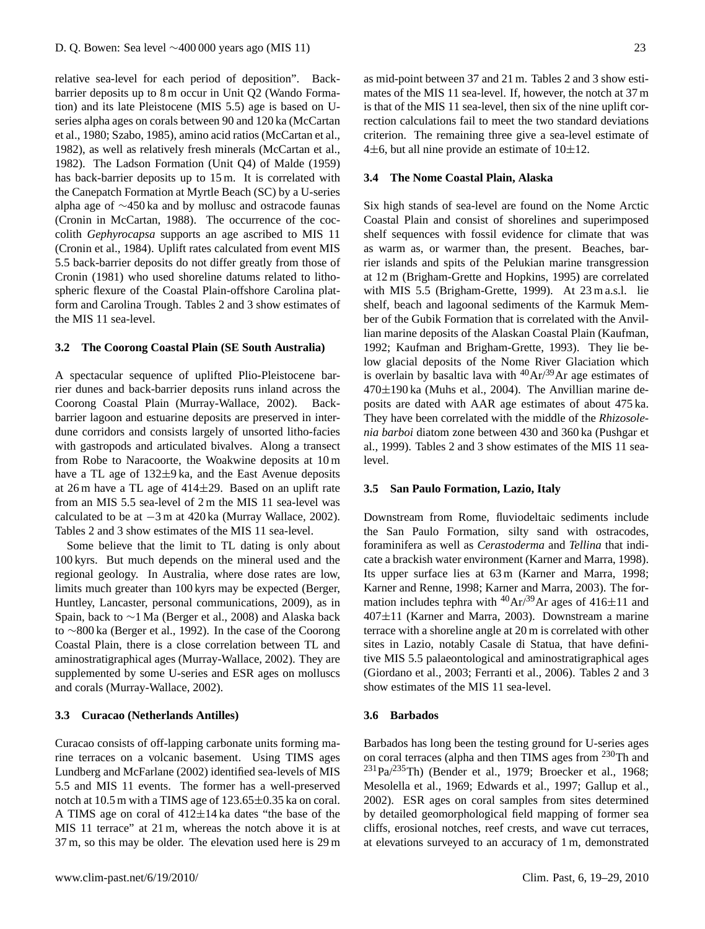relative sea-level for each period of deposition". Backbarrier deposits up to 8 m occur in Unit Q2 (Wando Formation) and its late Pleistocene (MIS 5.5) age is based on Useries alpha ages on corals between 90 and 120 ka (McCartan et al., 1980; Szabo, 1985), amino acid ratios (McCartan et al., 1982), as well as relatively fresh minerals (McCartan et al., 1982). The Ladson Formation (Unit Q4) of Malde (1959) has back-barrier deposits up to 15 m. It is correlated with the Canepatch Formation at Myrtle Beach (SC) by a U-series alpha age of ∼450 ka and by mollusc and ostracode faunas (Cronin in McCartan, 1988). The occurrence of the coccolith *Gephyrocapsa* supports an age ascribed to MIS 11 (Cronin et al., 1984). Uplift rates calculated from event MIS 5.5 back-barrier deposits do not differ greatly from those of Cronin (1981) who used shoreline datums related to lithospheric flexure of the Coastal Plain-offshore Carolina platform and Carolina Trough. Tables 2 and 3 show estimates of the MIS 11 sea-level.

#### **3.2 The Coorong Coastal Plain (SE South Australia)**

A spectacular sequence of uplifted Plio-Pleistocene barrier dunes and back-barrier deposits runs inland across the Coorong Coastal Plain (Murray-Wallace, 2002). Backbarrier lagoon and estuarine deposits are preserved in interdune corridors and consists largely of unsorted litho-facies with gastropods and articulated bivalves. Along a transect from Robe to Naracoorte, the Woakwine deposits at 10 m have a TL age of 132±9 ka, and the East Avenue deposits at 26 m have a TL age of  $414\pm 29$ . Based on an uplift rate from an MIS 5.5 sea-level of 2 m the MIS 11 sea-level was calculated to be at −3 m at 420 ka (Murray Wallace, 2002). Tables 2 and 3 show estimates of the MIS 11 sea-level.

Some believe that the limit to TL dating is only about 100 kyrs. But much depends on the mineral used and the regional geology. In Australia, where dose rates are low, limits much greater than 100 kyrs may be expected (Berger, Huntley, Lancaster, personal communications, 2009), as in Spain, back to ∼1 Ma (Berger et al., 2008) and Alaska back to ∼800 ka (Berger et al., 1992). In the case of the Coorong Coastal Plain, there is a close correlation between TL and aminostratigraphical ages (Murray-Wallace, 2002). They are supplemented by some U-series and ESR ages on molluscs and corals (Murray-Wallace, 2002).

# **3.3 Curacao (Netherlands Antilles)**

Curacao consists of off-lapping carbonate units forming marine terraces on a volcanic basement. Using TIMS ages Lundberg and McFarlane (2002) identified sea-levels of MIS 5.5 and MIS 11 events. The former has a well-preserved notch at 10.5 m with a TIMS age of 123.65±0.35 ka on coral. A TIMS age on coral of  $412\pm14$  ka dates "the base of the MIS 11 terrace" at 21 m, whereas the notch above it is at 37 m, so this may be older. The elevation used here is 29 m as mid-point between 37 and 21 m. Tables 2 and 3 show estimates of the MIS 11 sea-level. If, however, the notch at 37 m is that of the MIS 11 sea-level, then six of the nine uplift correction calculations fail to meet the two standard deviations criterion. The remaining three give a sea-level estimate of 4 $\pm$ 6, but all nine provide an estimate of 10 $\pm$ 12.

#### **3.4 The Nome Coastal Plain, Alaska**

Six high stands of sea-level are found on the Nome Arctic Coastal Plain and consist of shorelines and superimposed shelf sequences with fossil evidence for climate that was as warm as, or warmer than, the present. Beaches, barrier islands and spits of the Pelukian marine transgression at 12 m (Brigham-Grette and Hopkins, 1995) are correlated with MIS 5.5 (Brigham-Grette, 1999). At 23 m a.s.l. lie shelf, beach and lagoonal sediments of the Karmuk Member of the Gubik Formation that is correlated with the Anvillian marine deposits of the Alaskan Coastal Plain (Kaufman, 1992; Kaufman and Brigham-Grette, 1993). They lie below glacial deposits of the Nome River Glaciation which is overlain by basaltic lava with  ${}^{40}Ar/{}^{39}Ar$  age estimates of  $470\pm190$  ka (Muhs et al., 2004). The Anvillian marine deposits are dated with AAR age estimates of about 475 ka. They have been correlated with the middle of the *Rhizosolenia barboi* diatom zone between 430 and 360 ka (Pushgar et al., 1999). Tables 2 and 3 show estimates of the MIS 11 sealevel.

#### **3.5 San Paulo Formation, Lazio, Italy**

Downstream from Rome, fluviodeltaic sediments include the San Paulo Formation, silty sand with ostracodes, foraminifera as well as *Cerastoderma* and *Tellina* that indicate a brackish water environment (Karner and Marra, 1998). Its upper surface lies at 63 m (Karner and Marra, 1998; Karner and Renne, 1998; Karner and Marra, 2003). The formation includes tephra with <sup>40</sup>Ar/<sup>39</sup>Ar ages of 416 $\pm$ 11 and  $407 \pm 11$  (Karner and Marra, 2003). Downstream a marine terrace with a shoreline angle at 20 m is correlated with other sites in Lazio, notably Casale di Statua, that have definitive MIS 5.5 palaeontological and aminostratigraphical ages (Giordano et al., 2003; Ferranti et al., 2006). Tables 2 and 3 show estimates of the MIS 11 sea-level.

#### **3.6 Barbados**

Barbados has long been the testing ground for U-series ages on coral terraces (alpha and then TIMS ages from <sup>230</sup>Th and  $^{231}Pa/^{235}Th$ ) (Bender et al., 1979; Broecker et al., 1968; Mesolella et al., 1969; Edwards et al., 1997; Gallup et al., 2002). ESR ages on coral samples from sites determined by detailed geomorphological field mapping of former sea cliffs, erosional notches, reef crests, and wave cut terraces, at elevations surveyed to an accuracy of 1 m, demonstrated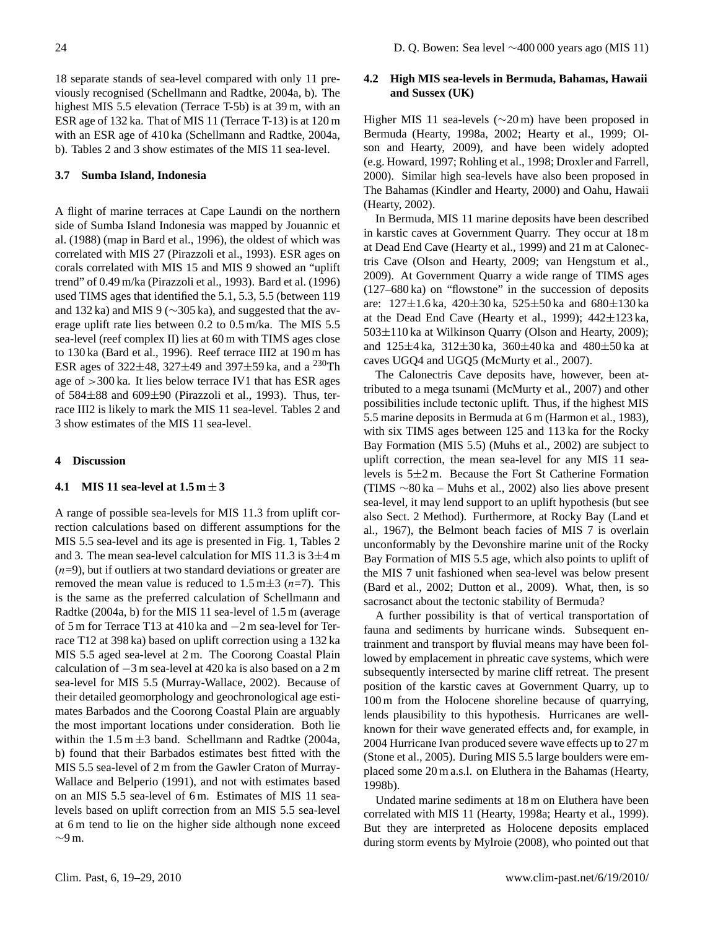18 separate stands of sea-level compared with only 11 previously recognised (Schellmann and Radtke, 2004a, b). The highest MIS 5.5 elevation (Terrace T-5b) is at 39 m, with an ESR age of 132 ka. That of MIS 11 (Terrace T-13) is at 120 m with an ESR age of 410 ka (Schellmann and Radtke, 2004a, b). Tables 2 and 3 show estimates of the MIS 11 sea-level.

# **3.7 Sumba Island, Indonesia**

A flight of marine terraces at Cape Laundi on the northern side of Sumba Island Indonesia was mapped by Jouannic et al. (1988) (map in Bard et al., 1996), the oldest of which was correlated with MIS 27 (Pirazzoli et al., 1993). ESR ages on corals correlated with MIS 15 and MIS 9 showed an "uplift trend" of 0.49 m/ka (Pirazzoli et al., 1993). Bard et al. (1996) used TIMS ages that identified the 5.1, 5.3, 5.5 (between 119 and 132 ka) and MIS 9 (∼305 ka), and suggested that the average uplift rate lies between 0.2 to 0.5 m/ka. The MIS 5.5 sea-level (reef complex II) lies at 60 m with TIMS ages close to 130 ka (Bard et al., 1996). Reef terrace III2 at 190 m has ESR ages of  $322\pm 48$ ,  $327\pm 49$  and  $397\pm 59$  ka, and a  $^{230}$ Th age of >300 ka. It lies below terrace IV1 that has ESR ages of  $584\pm88$  and  $609\pm90$  (Pirazzoli et al., 1993). Thus, terrace III2 is likely to mark the MIS 11 sea-level. Tables 2 and 3 show estimates of the MIS 11 sea-level.

#### **4 Discussion**

## **4.1** MIS 11 sea-level at  $1.5 m \pm 3$

A range of possible sea-levels for MIS 11.3 from uplift correction calculations based on different assumptions for the MIS 5.5 sea-level and its age is presented in Fig. 1, Tables 2 and 3. The mean sea-level calculation for MIS 11.3 is  $3\pm 4$  m  $(n=9)$ , but if outliers at two standard deviations or greater are removed the mean value is reduced to  $1.5 \text{ m} \pm 3$  (*n*=7). This is the same as the preferred calculation of Schellmann and Radtke (2004a, b) for the MIS 11 sea-level of 1.5 m (average of 5 m for Terrace T13 at 410 ka and −2 m sea-level for Terrace T12 at 398 ka) based on uplift correction using a 132 ka MIS 5.5 aged sea-level at 2 m. The Coorong Coastal Plain calculation of −3 m sea-level at 420 ka is also based on a 2 m sea-level for MIS 5.5 (Murray-Wallace, 2002). Because of their detailed geomorphology and geochronological age estimates Barbados and the Coorong Coastal Plain are arguably the most important locations under consideration. Both lie within the  $1.5 \text{ m} \pm 3$  band. Schellmann and Radtke (2004a, b) found that their Barbados estimates best fitted with the MIS 5.5 sea-level of 2 m from the Gawler Craton of Murray-Wallace and Belperio (1991), and not with estimates based on an MIS 5.5 sea-level of 6 m. Estimates of MIS 11 sealevels based on uplift correction from an MIS 5.5 sea-level at 6 m tend to lie on the higher side although none exceed ∼9 m.

# **4.2 High MIS sea-levels in Bermuda, Bahamas, Hawaii and Sussex (UK)**

Higher MIS 11 sea-levels (∼20 m) have been proposed in Bermuda (Hearty, 1998a, 2002; Hearty et al., 1999; Olson and Hearty, 2009), and have been widely adopted (e.g. Howard, 1997; Rohling et al., 1998; Droxler and Farrell, 2000). Similar high sea-levels have also been proposed in The Bahamas (Kindler and Hearty, 2000) and Oahu, Hawaii (Hearty, 2002).

In Bermuda, MIS 11 marine deposits have been described in karstic caves at Government Quarry. They occur at 18 m at Dead End Cave (Hearty et al., 1999) and 21 m at Calonectris Cave (Olson and Hearty, 2009; van Hengstum et al., 2009). At Government Quarry a wide range of TIMS ages (127–680 ka) on "flowstone" in the succession of deposits are: 127±1.6 ka, 420±30 ka, 525±50 ka and 680±130 ka at the Dead End Cave (Hearty et al., 1999);  $442\pm123$  ka, 503±110 ka at Wilkinson Quarry (Olson and Hearty, 2009); and 125±4 ka, 312±30 ka, 360±40 ka and 480±50 ka at caves UGQ4 and UGQ5 (McMurty et al., 2007).

The Calonectris Cave deposits have, however, been attributed to a mega tsunami (McMurty et al., 2007) and other possibilities include tectonic uplift. Thus, if the highest MIS 5.5 marine deposits in Bermuda at 6 m (Harmon et al., 1983), with six TIMS ages between 125 and 113 ka for the Rocky Bay Formation (MIS 5.5) (Muhs et al., 2002) are subject to uplift correction, the mean sea-level for any MIS 11 sealevels is 5±2 m. Because the Fort St Catherine Formation (TIMS ∼80 ka – Muhs et al., 2002) also lies above present sea-level, it may lend support to an uplift hypothesis (but see also Sect. 2 Method). Furthermore, at Rocky Bay (Land et al., 1967), the Belmont beach facies of MIS 7 is overlain unconformably by the Devonshire marine unit of the Rocky Bay Formation of MIS 5.5 age, which also points to uplift of the MIS 7 unit fashioned when sea-level was below present (Bard et al., 2002; Dutton et al., 2009). What, then, is so sacrosanct about the tectonic stability of Bermuda?

A further possibility is that of vertical transportation of fauna and sediments by hurricane winds. Subsequent entrainment and transport by fluvial means may have been followed by emplacement in phreatic cave systems, which were subsequently intersected by marine cliff retreat. The present position of the karstic caves at Government Quarry, up to 100 m from the Holocene shoreline because of quarrying, lends plausibility to this hypothesis. Hurricanes are wellknown for their wave generated effects and, for example, in 2004 Hurricane Ivan produced severe wave effects up to 27 m (Stone et al., 2005). During MIS 5.5 large boulders were emplaced some 20 m a.s.l. on Eluthera in the Bahamas (Hearty, 1998b).

Undated marine sediments at 18 m on Eluthera have been correlated with MIS 11 (Hearty, 1998a; Hearty et al., 1999). But they are interpreted as Holocene deposits emplaced during storm events by Mylroie (2008), who pointed out that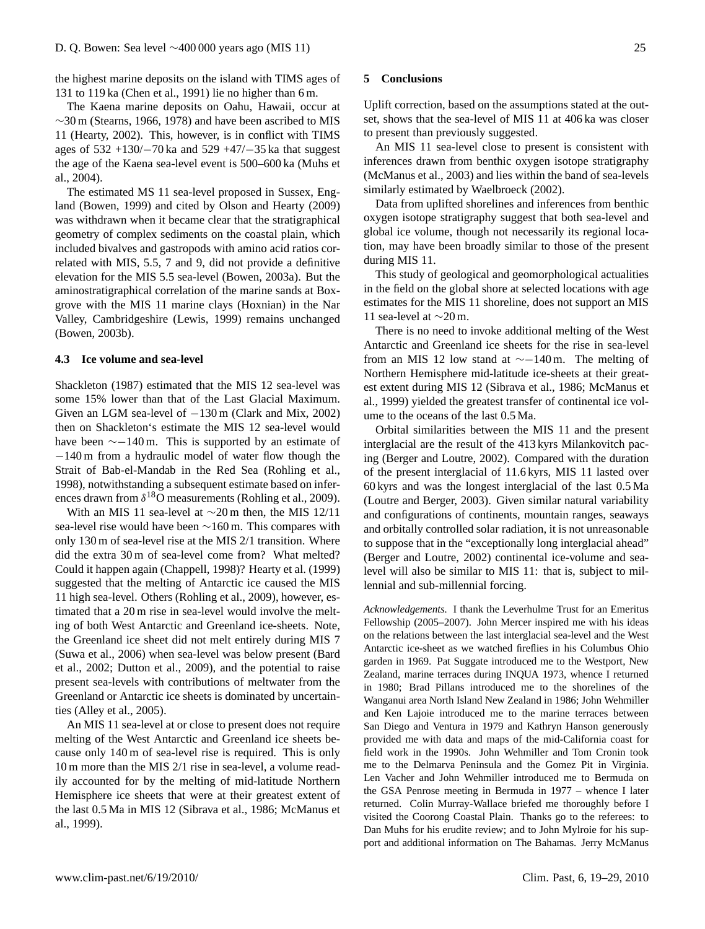the highest marine deposits on the island with TIMS ages of 131 to 119 ka (Chen et al., 1991) lie no higher than 6 m.

The Kaena marine deposits on Oahu, Hawaii, occur at ∼30 m (Stearns, 1966, 1978) and have been ascribed to MIS 11 (Hearty, 2002). This, however, is in conflict with TIMS ages of 532 +130/−70 ka and 529 +47/−35 ka that suggest the age of the Kaena sea-level event is 500–600 ka (Muhs et al., 2004).

The estimated MS 11 sea-level proposed in Sussex, England (Bowen, 1999) and cited by Olson and Hearty (2009) was withdrawn when it became clear that the stratigraphical geometry of complex sediments on the coastal plain, which included bivalves and gastropods with amino acid ratios correlated with MIS, 5.5, 7 and 9, did not provide a definitive elevation for the MIS 5.5 sea-level (Bowen, 2003a). But the aminostratigraphical correlation of the marine sands at Boxgrove with the MIS 11 marine clays (Hoxnian) in the Nar Valley, Cambridgeshire (Lewis, 1999) remains unchanged (Bowen, 2003b).

## **4.3 Ice volume and sea-level**

Shackleton (1987) estimated that the MIS 12 sea-level was some 15% lower than that of the Last Glacial Maximum. Given an LGM sea-level of  $-130$  m (Clark and Mix, 2002) then on Shackleton's estimate the MIS 12 sea-level would have been ∼−140 m. This is supported by an estimate of −140 m from a hydraulic model of water flow though the Strait of Bab-el-Mandab in the Red Sea (Rohling et al., 1998), notwithstanding a subsequent estimate based on inferences drawn from  $\delta^{18}$ O measurements (Rohling et al., 2009).

With an MIS 11 sea-level at ∼20 m then, the MIS 12/11 sea-level rise would have been ∼160 m. This compares with only 130 m of sea-level rise at the MIS 2/1 transition. Where did the extra 30 m of sea-level come from? What melted? Could it happen again (Chappell, 1998)? Hearty et al. (1999) suggested that the melting of Antarctic ice caused the MIS 11 high sea-level. Others (Rohling et al., 2009), however, estimated that a 20 m rise in sea-level would involve the melting of both West Antarctic and Greenland ice-sheets. Note, the Greenland ice sheet did not melt entirely during MIS 7 (Suwa et al., 2006) when sea-level was below present (Bard et al., 2002; Dutton et al., 2009), and the potential to raise present sea-levels with contributions of meltwater from the Greenland or Antarctic ice sheets is dominated by uncertainties (Alley et al., 2005).

An MIS 11 sea-level at or close to present does not require melting of the West Antarctic and Greenland ice sheets because only 140 m of sea-level rise is required. This is only 10 m more than the MIS 2/1 rise in sea-level, a volume readily accounted for by the melting of mid-latitude Northern Hemisphere ice sheets that were at their greatest extent of the last 0.5 Ma in MIS 12 (Sibrava et al., 1986; McManus et al., 1999).

# **5 Conclusions**

Uplift correction, based on the assumptions stated at the outset, shows that the sea-level of MIS 11 at 406 ka was closer to present than previously suggested.

An MIS 11 sea-level close to present is consistent with inferences drawn from benthic oxygen isotope stratigraphy (McManus et al., 2003) and lies within the band of sea-levels similarly estimated by Waelbroeck (2002).

Data from uplifted shorelines and inferences from benthic oxygen isotope stratigraphy suggest that both sea-level and global ice volume, though not necessarily its regional location, may have been broadly similar to those of the present during MIS 11.

This study of geological and geomorphological actualities in the field on the global shore at selected locations with age estimates for the MIS 11 shoreline, does not support an MIS 11 sea-level at ∼20 m.

There is no need to invoke additional melting of the West Antarctic and Greenland ice sheets for the rise in sea-level from an MIS 12 low stand at ∼−140 m. The melting of Northern Hemisphere mid-latitude ice-sheets at their greatest extent during MIS 12 (Sibrava et al., 1986; McManus et al., 1999) yielded the greatest transfer of continental ice volume to the oceans of the last 0.5 Ma.

Orbital similarities between the MIS 11 and the present interglacial are the result of the 413 kyrs Milankovitch pacing (Berger and Loutre, 2002). Compared with the duration of the present interglacial of 11.6 kyrs, MIS 11 lasted over 60 kyrs and was the longest interglacial of the last 0.5 Ma (Loutre and Berger, 2003). Given similar natural variability and configurations of continents, mountain ranges, seaways and orbitally controlled solar radiation, it is not unreasonable to suppose that in the "exceptionally long interglacial ahead" (Berger and Loutre, 2002) continental ice-volume and sealevel will also be similar to MIS 11: that is, subject to millennial and sub-millennial forcing.

*Acknowledgements.* I thank the Leverhulme Trust for an Emeritus Fellowship (2005–2007). John Mercer inspired me with his ideas on the relations between the last interglacial sea-level and the West Antarctic ice-sheet as we watched fireflies in his Columbus Ohio garden in 1969. Pat Suggate introduced me to the Westport, New Zealand, marine terraces during INQUA 1973, whence I returned in 1980; Brad Pillans introduced me to the shorelines of the Wanganui area North Island New Zealand in 1986; John Wehmiller and Ken Lajoie introduced me to the marine terraces between San Diego and Ventura in 1979 and Kathryn Hanson generously provided me with data and maps of the mid-California coast for field work in the 1990s. John Wehmiller and Tom Cronin took me to the Delmarva Peninsula and the Gomez Pit in Virginia. Len Vacher and John Wehmiller introduced me to Bermuda on the GSA Penrose meeting in Bermuda in 1977 – whence I later returned. Colin Murray-Wallace briefed me thoroughly before I visited the Coorong Coastal Plain. Thanks go to the referees: to Dan Muhs for his erudite review; and to John Mylroie for his support and additional information on The Bahamas. Jerry McManus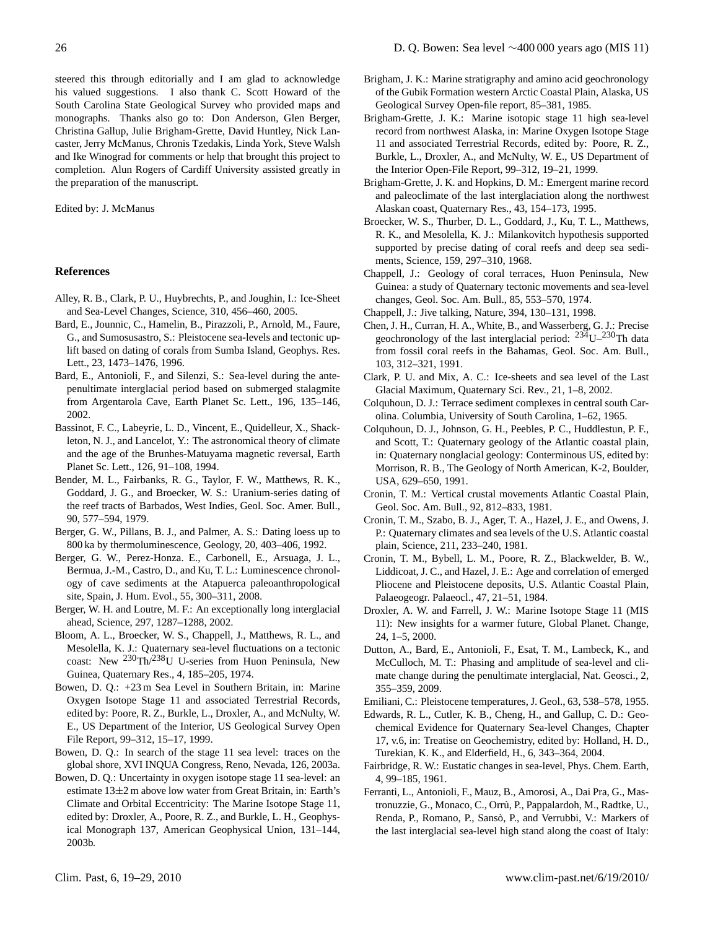steered this through editorially and I am glad to acknowledge his valued suggestions. I also thank C. Scott Howard of the South Carolina State Geological Survey who provided maps and monographs. Thanks also go to: Don Anderson, Glen Berger, Christina Gallup, Julie Brigham-Grette, David Huntley, Nick Lancaster, Jerry McManus, Chronis Tzedakis, Linda York, Steve Walsh and Ike Winograd for comments or help that brought this project to completion. Alun Rogers of Cardiff University assisted greatly in the preparation of the manuscript.

#### Edited by: J. McManus

#### **References**

- Alley, R. B., Clark, P. U., Huybrechts, P., and Joughin, I.: Ice-Sheet and Sea-Level Changes, Science, 310, 456–460, 2005.
- Bard, E., Jounnic, C., Hamelin, B., Pirazzoli, P., Arnold, M., Faure, G., and Sumosusastro, S.: Pleistocene sea-levels and tectonic uplift based on dating of corals from Sumba Island, Geophys. Res. Lett., 23, 1473–1476, 1996.
- Bard, E., Antonioli, F., and Silenzi, S.: Sea-level during the antepenultimate interglacial period based on submerged stalagmite from Argentarola Cave, Earth Planet Sc. Lett., 196, 135–146, 2002.
- Bassinot, F. C., Labeyrie, L. D., Vincent, E., Quidelleur, X., Shackleton, N. J., and Lancelot, Y.: The astronomical theory of climate and the age of the Brunhes-Matuyama magnetic reversal, Earth Planet Sc. Lett., 126, 91–108, 1994.
- Bender, M. L., Fairbanks, R. G., Taylor, F. W., Matthews, R. K., Goddard, J. G., and Broecker, W. S.: Uranium-series dating of the reef tracts of Barbados, West Indies, Geol. Soc. Amer. Bull., 90, 577–594, 1979.
- Berger, G. W., Pillans, B. J., and Palmer, A. S.: Dating loess up to 800 ka by thermoluminescence, Geology, 20, 403–406, 1992.
- Berger, G. W., Perez-Honza. E., Carbonell, E., Arsuaga, J. L., Bermua, J.-M., Castro, D., and Ku, T. L.: Luminescence chronology of cave sediments at the Atapuerca paleoanthropological site, Spain, J. Hum. Evol., 55, 300–311, 2008.
- Berger, W. H. and Loutre, M. F.: An exceptionally long interglacial ahead, Science, 297, 1287–1288, 2002.
- Bloom, A. L., Broecker, W. S., Chappell, J., Matthews, R. L., and Mesolella, K. J.: Quaternary sea-level fluctuations on a tectonic coast: New  $^{230}$ Th/ $^{238}$ U U-series from Huon Peninsula, New Guinea, Quaternary Res., 4, 185–205, 1974.
- Bowen, D. Q.: +23 m Sea Level in Southern Britain, in: Marine Oxygen Isotope Stage 11 and associated Terrestrial Records, edited by: Poore, R. Z., Burkle, L., Droxler, A., and McNulty, W. E., US Department of the Interior, US Geological Survey Open File Report, 99–312, 15–17, 1999.
- Bowen, D. Q.: In search of the stage 11 sea level: traces on the global shore, XVI INQUA Congress, Reno, Nevada, 126, 2003a.
- Bowen, D. Q.: Uncertainty in oxygen isotope stage 11 sea-level: an estimate 13±2 m above low water from Great Britain, in: Earth's Climate and Orbital Eccentricity: The Marine Isotope Stage 11, edited by: Droxler, A., Poore, R. Z., and Burkle, L. H., Geophysical Monograph 137, American Geophysical Union, 131–144, 2003b.
- Brigham, J. K.: Marine stratigraphy and amino acid geochronology of the Gubik Formation western Arctic Coastal Plain, Alaska, US Geological Survey Open-file report, 85–381, 1985.
- Brigham-Grette, J. K.: Marine isotopic stage 11 high sea-level record from northwest Alaska, in: Marine Oxygen Isotope Stage 11 and associated Terrestrial Records, edited by: Poore, R. Z., Burkle, L., Droxler, A., and McNulty, W. E., US Department of the Interior Open-File Report, 99–312, 19–21, 1999.
- Brigham-Grette, J. K. and Hopkins, D. M.: Emergent marine record and paleoclimate of the last interglaciation along the northwest Alaskan coast, Quaternary Res., 43, 154–173, 1995.
- Broecker, W. S., Thurber, D. L., Goddard, J., Ku, T. L., Matthews, R. K., and Mesolella, K. J.: Milankovitch hypothesis supported supported by precise dating of coral reefs and deep sea sediments, Science, 159, 297–310, 1968.
- Chappell, J.: Geology of coral terraces, Huon Peninsula, New Guinea: a study of Quaternary tectonic movements and sea-level changes, Geol. Soc. Am. Bull., 85, 553–570, 1974.
- Chappell, J.: Jive talking, Nature, 394, 130–131, 1998.
- Chen, J. H., Curran, H. A., White, B., and Wasserberg, G. J.: Precise geochronology of the last interglacial period:  $234$ U $-230$ Th data from fossil coral reefs in the Bahamas, Geol. Soc. Am. Bull., 103, 312–321, 1991.
- Clark, P. U. and Mix, A. C.: Ice-sheets and sea level of the Last Glacial Maximum, Quaternary Sci. Rev., 21, 1–8, 2002.
- Colquhoun, D. J.: Terrace sediment complexes in central south Carolina. Columbia, University of South Carolina, 1–62, 1965.
- Colquhoun, D. J., Johnson, G. H., Peebles, P. C., Huddlestun, P. F., and Scott, T.: Quaternary geology of the Atlantic coastal plain, in: Quaternary nonglacial geology: Conterminous US, edited by: Morrison, R. B., The Geology of North American, K-2, Boulder, USA, 629–650, 1991.
- Cronin, T. M.: Vertical crustal movements Atlantic Coastal Plain, Geol. Soc. Am. Bull., 92, 812–833, 1981.
- Cronin, T. M., Szabo, B. J., Ager, T. A., Hazel, J. E., and Owens, J. P.: Quaternary climates and sea levels of the U.S. Atlantic coastal plain, Science, 211, 233–240, 1981.
- Cronin, T. M., Bybell, L. M., Poore, R. Z., Blackwelder, B. W., Liddicoat, J. C., and Hazel, J. E.: Age and correlation of emerged Pliocene and Pleistocene deposits, U.S. Atlantic Coastal Plain, Palaeogeogr. Palaeocl., 47, 21–51, 1984.
- Droxler, A. W. and Farrell, J. W.: Marine Isotope Stage 11 (MIS 11): New insights for a warmer future, Global Planet. Change, 24, 1–5, 2000.
- Dutton, A., Bard, E., Antonioli, F., Esat, T. M., Lambeck, K., and McCulloch, M. T.: Phasing and amplitude of sea-level and climate change during the penultimate interglacial, Nat. Geosci., 2, 355–359, 2009.
- Emiliani, C.: Pleistocene temperatures, J. Geol., 63, 538–578, 1955.
- Edwards, R. L., Cutler, K. B., Cheng, H., and Gallup, C. D.: Geochemical Evidence for Quaternary Sea-level Changes, Chapter 17, v.6, in: Treatise on Geochemistry, edited by: Holland, H. D., Turekian, K. K., and Elderfield, H., 6, 343–364, 2004.
- Fairbridge, R. W.: Eustatic changes in sea-level, Phys. Chem. Earth, 4, 99–185, 1961.
- Ferranti, L., Antonioli, F., Mauz, B., Amorosi, A., Dai Pra, G., Mastronuzzie, G., Monaco, C., Orru, P., Pappalardoh, M., Radtke, U., ` Renda, P., Romano, P., Sansò, P., and Verrubbi, V.: Markers of the last interglacial sea-level high stand along the coast of Italy: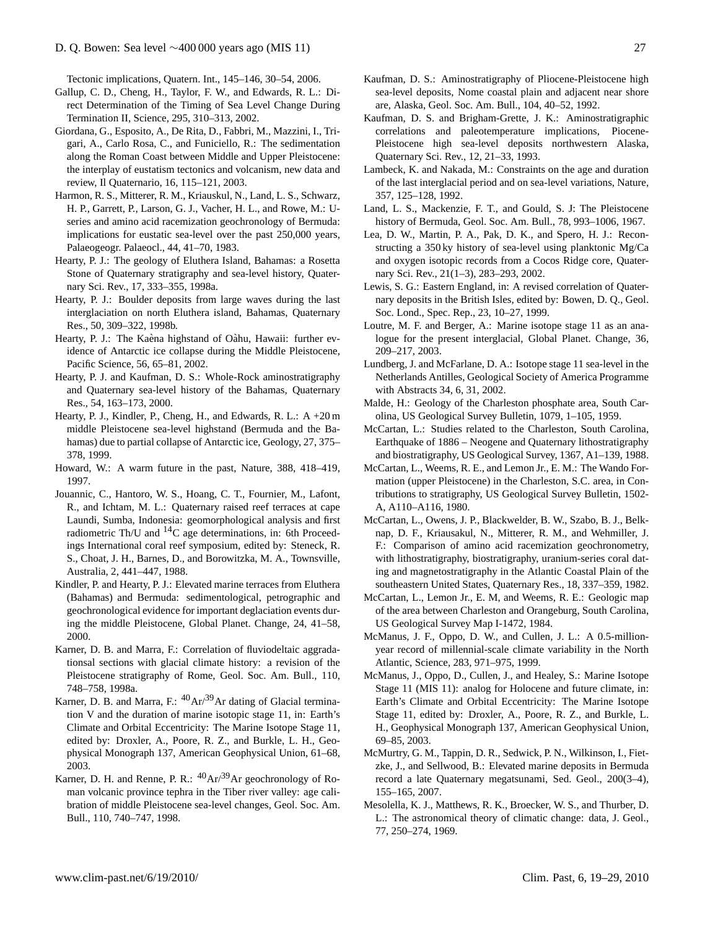Tectonic implications, Quatern. Int., 145–146, 30–54, 2006.

- Gallup, C. D., Cheng, H., Taylor, F. W., and Edwards, R. L.: Direct Determination of the Timing of Sea Level Change During Termination II, Science, 295, 310–313, 2002.
- Giordana, G., Esposito, A., De Rita, D., Fabbri, M., Mazzini, I., Trigari, A., Carlo Rosa, C., and Funiciello, R.: The sedimentation along the Roman Coast between Middle and Upper Pleistocene: the interplay of eustatism tectonics and volcanism, new data and review, Il Quaternario, 16, 115–121, 2003.
- Harmon, R. S., Mitterer, R. M., Kriauskul, N., Land, L. S., Schwarz, H. P., Garrett, P., Larson, G. J., Vacher, H. L., and Rowe, M.: Useries and amino acid racemization geochronology of Bermuda: implications for eustatic sea-level over the past 250,000 years, Palaeogeogr. Palaeocl., 44, 41–70, 1983.
- Hearty, P. J.: The geology of Eluthera Island, Bahamas: a Rosetta Stone of Quaternary stratigraphy and sea-level history, Quaternary Sci. Rev., 17, 333–355, 1998a.
- Hearty, P. J.: Boulder deposits from large waves during the last interglaciation on north Eluthera island, Bahamas, Quaternary Res., 50, 309–322, 1998b.
- Hearty, P. J.: The Kaèna highstand of Oàhu, Hawaii: further evidence of Antarctic ice collapse during the Middle Pleistocene, Pacific Science, 56, 65–81, 2002.
- Hearty, P. J. and Kaufman, D. S.: Whole-Rock aminostratigraphy and Quaternary sea-level history of the Bahamas, Quaternary Res., 54, 163–173, 2000.
- Hearty, P. J., Kindler, P., Cheng, H., and Edwards, R. L.: A +20 m middle Pleistocene sea-level highstand (Bermuda and the Bahamas) due to partial collapse of Antarctic ice, Geology, 27, 375– 378, 1999.
- Howard, W.: A warm future in the past, Nature, 388, 418–419, 1997.
- Jouannic, C., Hantoro, W. S., Hoang, C. T., Fournier, M., Lafont, R., and Ichtam, M. L.: Quaternary raised reef terraces at cape Laundi, Sumba, Indonesia: geomorphological analysis and first radiometric Th/U and  ${}^{14}C$  age determinations, in: 6th Proceedings International coral reef symposium, edited by: Steneck, R. S., Choat, J. H., Barnes, D., and Borowitzka, M. A., Townsville, Australia, 2, 441–447, 1988.
- Kindler, P. and Hearty, P. J.: Elevated marine terraces from Eluthera (Bahamas) and Bermuda: sedimentological, petrographic and geochronological evidence for important deglaciation events during the middle Pleistocene, Global Planet. Change, 24, 41–58, 2000.
- Karner, D. B. and Marra, F.: Correlation of fluviodeltaic aggradationsal sections with glacial climate history: a revision of the Pleistocene stratigraphy of Rome, Geol. Soc. Am. Bull., 110, 748–758, 1998a.
- Karner, D. B. and Marra, F.:  $^{40}Ar^{39}Ar$  dating of Glacial termination V and the duration of marine isotopic stage 11, in: Earth's Climate and Orbital Eccentricity: The Marine Isotope Stage 11, edited by: Droxler, A., Poore, R. Z., and Burkle, L. H., Geophysical Monograph 137, American Geophysical Union, 61–68, 2003.
- Karner, D. H. and Renne, P. R.:  $^{40}Ar^{39}Ar$  geochronology of Roman volcanic province tephra in the Tiber river valley: age calibration of middle Pleistocene sea-level changes, Geol. Soc. Am. Bull., 110, 740–747, 1998.
- Kaufman, D. S.: Aminostratigraphy of Pliocene-Pleistocene high sea-level deposits, Nome coastal plain and adjacent near shore are, Alaska, Geol. Soc. Am. Bull., 104, 40–52, 1992.
- Kaufman, D. S. and Brigham-Grette, J. K.: Aminostratigraphic correlations and paleotemperature implications, Piocene-Pleistocene high sea-level deposits northwestern Alaska, Quaternary Sci. Rev., 12, 21–33, 1993.
- Lambeck, K. and Nakada, M.: Constraints on the age and duration of the last interglacial period and on sea-level variations, Nature, 357, 125–128, 1992.
- Land, L. S., Mackenzie, F. T., and Gould, S. J: The Pleistocene history of Bermuda, Geol. Soc. Am. Bull., 78, 993–1006, 1967.
- Lea, D. W., Martin, P. A., Pak, D. K., and Spero, H. J.: Reconstructing a 350 ky history of sea-level using planktonic Mg/Ca and oxygen isotopic records from a Cocos Ridge core, Quaternary Sci. Rev., 21(1–3), 283–293, 2002.
- Lewis, S. G.: Eastern England, in: A revised correlation of Quaternary deposits in the British Isles, edited by: Bowen, D. Q., Geol. Soc. Lond., Spec. Rep., 23, 10–27, 1999.
- Loutre, M. F. and Berger, A.: Marine isotope stage 11 as an analogue for the present interglacial, Global Planet. Change, 36, 209–217, 2003.
- Lundberg, J. and McFarlane, D. A.: Isotope stage 11 sea-level in the Netherlands Antilles, Geological Society of America Programme with Abstracts 34, 6, 31, 2002.
- Malde, H.: Geology of the Charleston phosphate area, South Carolina, US Geological Survey Bulletin, 1079, 1–105, 1959.
- McCartan, L.: Studies related to the Charleston, South Carolina, Earthquake of 1886 – Neogene and Quaternary lithostratigraphy and biostratigraphy, US Geological Survey, 1367, A1–139, 1988.
- McCartan, L., Weems, R. E., and Lemon Jr., E. M.: The Wando Formation (upper Pleistocene) in the Charleston, S.C. area, in Contributions to stratigraphy, US Geological Survey Bulletin, 1502- A, A110–A116, 1980.
- McCartan, L., Owens, J. P., Blackwelder, B. W., Szabo, B. J., Belknap, D. F., Kriausakul, N., Mitterer, R. M., and Wehmiller, J. F.: Comparison of amino acid racemization geochronometry, with lithostratigraphy, biostratigraphy, uranium-series coral dating and magnetostratigraphy in the Atlantic Coastal Plain of the southeastern United States, Quaternary Res., 18, 337–359, 1982.
- McCartan, L., Lemon Jr., E. M, and Weems, R. E.: Geologic map of the area between Charleston and Orangeburg, South Carolina, US Geological Survey Map I-1472, 1984.
- McManus, J. F., Oppo, D. W., and Cullen, J. L.: A 0.5-millionyear record of millennial-scale climate variability in the North Atlantic, Science, 283, 971–975, 1999.
- McManus, J., Oppo, D., Cullen, J., and Healey, S.: Marine Isotope Stage 11 (MIS 11): analog for Holocene and future climate, in: Earth's Climate and Orbital Eccentricity: The Marine Isotope Stage 11, edited by: Droxler, A., Poore, R. Z., and Burkle, L. H., Geophysical Monograph 137, American Geophysical Union, 69–85, 2003.
- McMurtry, G. M., Tappin, D. R., Sedwick, P. N., Wilkinson, I., Fietzke, J., and Sellwood, B.: Elevated marine deposits in Bermuda record a late Quaternary megatsunami, Sed. Geol., 200(3–4), 155–165, 2007.
- Mesolella, K. J., Matthews, R. K., Broecker, W. S., and Thurber, D. L.: The astronomical theory of climatic change: data, J. Geol., 77, 250–274, 1969.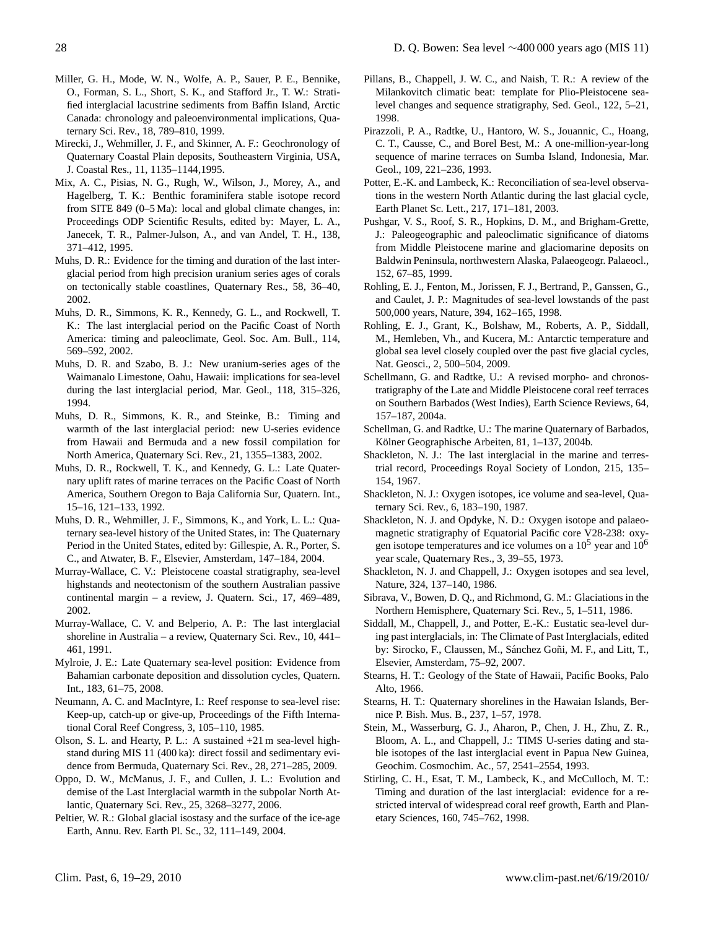- Miller, G. H., Mode, W. N., Wolfe, A. P., Sauer, P. E., Bennike, O., Forman, S. L., Short, S. K., and Stafford Jr., T. W.: Stratified interglacial lacustrine sediments from Baffin Island, Arctic Canada: chronology and paleoenvironmental implications, Quaternary Sci. Rev., 18, 789–810, 1999.
- Mirecki, J., Wehmiller, J. F., and Skinner, A. F.: Geochronology of Quaternary Coastal Plain deposits, Southeastern Virginia, USA, J. Coastal Res., 11, 1135–1144,1995.
- Mix, A. C., Pisias, N. G., Rugh, W., Wilson, J., Morey, A., and Hagelberg, T. K.: Benthic foraminifera stable isotope record from SITE 849 (0–5 Ma): local and global climate changes, in: Proceedings ODP Scientific Results, edited by: Mayer, L. A., Janecek, T. R., Palmer-Julson, A., and van Andel, T. H., 138, 371–412, 1995.
- Muhs, D. R.: Evidence for the timing and duration of the last interglacial period from high precision uranium series ages of corals on tectonically stable coastlines, Quaternary Res., 58, 36–40, 2002.
- Muhs, D. R., Simmons, K. R., Kennedy, G. L., and Rockwell, T. K.: The last interglacial period on the Pacific Coast of North America: timing and paleoclimate, Geol. Soc. Am. Bull., 114, 569–592, 2002.
- Muhs, D. R. and Szabo, B. J.: New uranium-series ages of the Waimanalo Limestone, Oahu, Hawaii: implications for sea-level during the last interglacial period, Mar. Geol., 118, 315–326, 1994.
- Muhs, D. R., Simmons, K. R., and Steinke, B.: Timing and warmth of the last interglacial period: new U-series evidence from Hawaii and Bermuda and a new fossil compilation for North America, Quaternary Sci. Rev., 21, 1355–1383, 2002.
- Muhs, D. R., Rockwell, T. K., and Kennedy, G. L.: Late Quaternary uplift rates of marine terraces on the Pacific Coast of North America, Southern Oregon to Baja California Sur, Quatern. Int., 15–16, 121–133, 1992.
- Muhs, D. R., Wehmiller, J. F., Simmons, K., and York, L. L.: Quaternary sea-level history of the United States, in: The Quaternary Period in the United States, edited by: Gillespie, A. R., Porter, S. C., and Atwater, B. F., Elsevier, Amsterdam, 147–184, 2004.
- Murray-Wallace, C. V.: Pleistocene coastal stratigraphy, sea-level highstands and neotectonism of the southern Australian passive continental margin – a review, J. Quatern. Sci., 17, 469–489, 2002.
- Murray-Wallace, C. V. and Belperio, A. P.: The last interglacial shoreline in Australia – a review, Quaternary Sci. Rev., 10, 441– 461, 1991.
- Mylroie, J. E.: Late Quaternary sea-level position: Evidence from Bahamian carbonate deposition and dissolution cycles, Quatern. Int., 183, 61–75, 2008.
- Neumann, A. C. and MacIntyre, I.: Reef response to sea-level rise: Keep-up, catch-up or give-up, Proceedings of the Fifth International Coral Reef Congress, 3, 105–110, 1985.
- Olson, S. L. and Hearty, P. L.: A sustained +21 m sea-level highstand during MIS 11 (400 ka): direct fossil and sedimentary evidence from Bermuda, Quaternary Sci. Rev., 28, 271–285, 2009.
- Oppo, D. W., McManus, J. F., and Cullen, J. L.: Evolution and demise of the Last Interglacial warmth in the subpolar North Atlantic, Quaternary Sci. Rev., 25, 3268–3277, 2006.
- Peltier, W. R.: Global glacial isostasy and the surface of the ice-age Earth, Annu. Rev. Earth Pl. Sc., 32, 111–149, 2004.
- Pillans, B., Chappell, J. W. C., and Naish, T. R.: A review of the Milankovitch climatic beat: template for Plio-Pleistocene sealevel changes and sequence stratigraphy, Sed. Geol., 122, 5–21, 1998.
- Pirazzoli, P. A., Radtke, U., Hantoro, W. S., Jouannic, C., Hoang, C. T., Causse, C., and Borel Best, M.: A one-million-year-long sequence of marine terraces on Sumba Island, Indonesia, Mar. Geol., 109, 221–236, 1993.
- Potter, E.-K. and Lambeck, K.: Reconciliation of sea-level observations in the western North Atlantic during the last glacial cycle, Earth Planet Sc. Lett., 217, 171–181, 2003.
- Pushgar, V. S., Roof, S. R., Hopkins, D. M., and Brigham-Grette, J.: Paleogeographic and paleoclimatic significance of diatoms from Middle Pleistocene marine and glaciomarine deposits on Baldwin Peninsula, northwestern Alaska, Palaeogeogr. Palaeocl., 152, 67–85, 1999.
- Rohling, E. J., Fenton, M., Jorissen, F. J., Bertrand, P., Ganssen, G., and Caulet, J. P.: Magnitudes of sea-level lowstands of the past 500,000 years, Nature, 394, 162–165, 1998.
- Rohling, E. J., Grant, K., Bolshaw, M., Roberts, A. P., Siddall, M., Hemleben, Vh., and Kucera, M.: Antarctic temperature and global sea level closely coupled over the past five glacial cycles, Nat. Geosci., 2, 500–504, 2009.
- Schellmann, G. and Radtke, U.: A revised morpho- and chronostratigraphy of the Late and Middle Pleistocene coral reef terraces on Southern Barbados (West Indies), Earth Science Reviews, 64, 157–187, 2004a.
- Schellman, G. and Radtke, U.: The marine Quaternary of Barbados, Kölner Geographische Arbeiten, 81, 1-137, 2004b.
- Shackleton, N. J.: The last interglacial in the marine and terrestrial record, Proceedings Royal Society of London, 215, 135– 154, 1967.
- Shackleton, N. J.: Oxygen isotopes, ice volume and sea-level, Quaternary Sci. Rev., 6, 183–190, 1987.
- Shackleton, N. J. and Opdyke, N. D.: Oxygen isotope and palaeomagnetic stratigraphy of Equatorial Pacific core V28-238: oxygen isotope temperatures and ice volumes on a  $10^5$  year and  $10^6$ year scale, Quaternary Res., 3, 39–55, 1973.
- Shackleton, N. J. and Chappell, J.: Oxygen isotopes and sea level, Nature, 324, 137–140, 1986.
- Sibrava, V., Bowen, D. Q., and Richmond, G. M.: Glaciations in the Northern Hemisphere, Quaternary Sci. Rev., 5, 1–511, 1986.
- Siddall, M., Chappell, J., and Potter, E.-K.: Eustatic sea-level during past interglacials, in: The Climate of Past Interglacials, edited by: Sirocko, F., Claussen, M., Sánchez Goñi, M. F., and Litt, T., Elsevier, Amsterdam, 75–92, 2007.
- Stearns, H. T.: Geology of the State of Hawaii, Pacific Books, Palo Alto, 1966.
- Stearns, H. T.: Quaternary shorelines in the Hawaian Islands, Bernice P. Bish. Mus. B., 237, 1–57, 1978.
- Stein, M., Wasserburg, G. J., Aharon, P., Chen, J. H., Zhu, Z. R., Bloom, A. L., and Chappell, J.: TIMS U-series dating and stable isotopes of the last interglacial event in Papua New Guinea, Geochim. Cosmochim. Ac., 57, 2541–2554, 1993.
- Stirling, C. H., Esat, T. M., Lambeck, K., and McCulloch, M. T.: Timing and duration of the last interglacial: evidence for a restricted interval of widespread coral reef growth, Earth and Planetary Sciences, 160, 745–762, 1998.